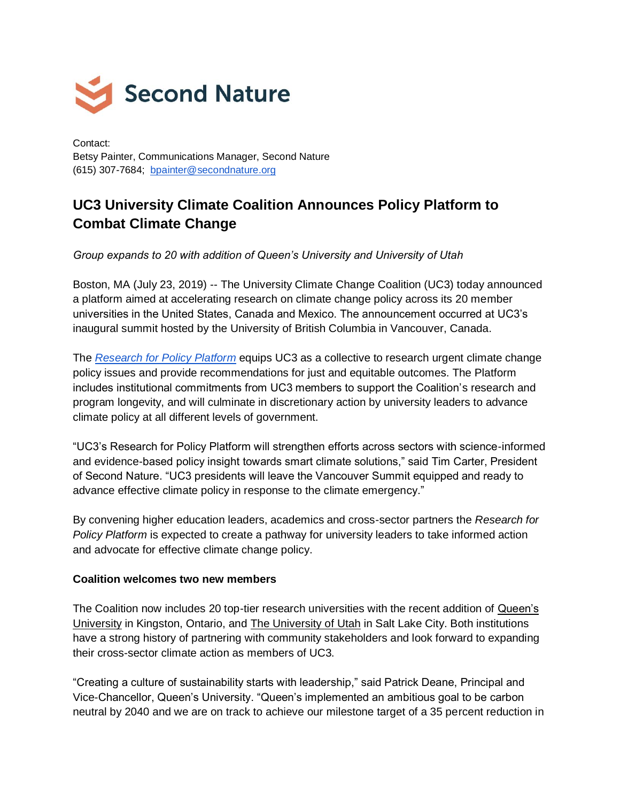

Contact: Betsy Painter, Communications Manager, Second Nature (615) 307-7684; [bpainter@secondnature.org](mailto:bpainter@secondnature.org)

## **UC3 University Climate Coalition Announces Policy Platform to Combat Climate Change**

*Group expands to 20 with addition of Queen's University and University of Utah* 

Boston, MA (July 23, 2019) -- The University Climate Change Coalition (UC3) today announced a platform aimed at accelerating research on climate change policy across its 20 member universities in the United States, Canada and Mexico. The announcement occurred at UC3's inaugural summit hosted by the University of British Columbia in Vancouver, Canada.

The *[Research for Policy Platform](https://secondnature.org/about-uc3/research-for-policy)* equips UC3 as a collective to research urgent climate change policy issues and provide recommendations for just and equitable outcomes. The Platform includes institutional commitments from UC3 members to support the Coalition's research and program longevity, and will culminate in discretionary action by university leaders to advance climate policy at all different levels of government.

"UC3's Research for Policy Platform will strengthen efforts across sectors with science-informed and evidence-based policy insight towards smart climate solutions," said Tim Carter, President of Second Nature. "UC3 presidents will leave the Vancouver Summit equipped and ready to advance effective climate policy in response to the climate emergency."

By convening higher education leaders, academics and cross-sector partners the *Research for Policy Platform* is expected to create a pathway for university leaders to take informed action and advocate for effective climate change policy.

## **Coalition welcomes two new members**

The Coalition now includes 20 top-tier research universities with the recent addition of Queen's [University](http://queensu.ca/) in Kingston, Ontario, and [The University of Utah](https://www.utah.edu/) in Salt Lake City. Both institutions have a strong history of partnering with community stakeholders and look forward to expanding their cross-sector climate action as members of UC3.

"Creating a culture of sustainability starts with leadership," said Patrick Deane, Principal and Vice-Chancellor, Queen's University. "Queen's implemented an ambitious goal to be carbon neutral by 2040 and we are on track to achieve our milestone target of a 35 percent reduction in